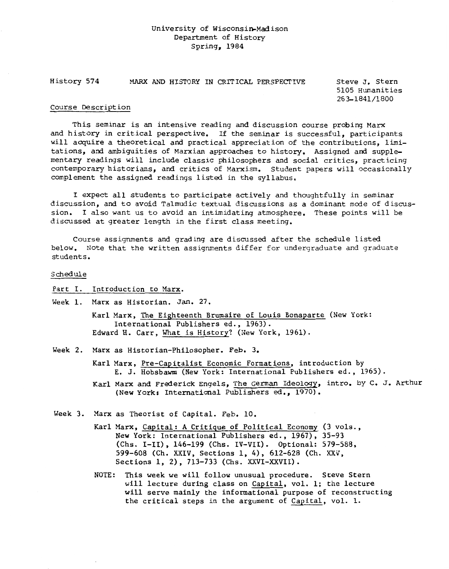# University of Wisconsin-Madison Department of History Spring, 1984

History 574 MARX AND HISTORY IN CRITICAL PERSPECTIVE Steve J. Stern

5105 Humanities 263-1841/1800

### Course Description

This seminar is an intensive reading and discussion course probing Marx and history in critical perspective. If the seminar is successful, participants will acquire a theoretical and practical appreciation of the contributions, limitations, and ambiguities of Marxian approaches to history. Assigned and supplementary readings will include classic philosophers and social critics, practicing contemporary historians, and critics of Marxism. Student papers will occasionally complement the assigned readings listed in the syllabus.

I expect all students to participate actively and thoughtfully in seminar discussion, and to avoid Talmudic textual discussions as a dominant mode of discussion. I also want us to avoid an intimidating atmosphere. These points will be discussed at greater length in the first class meeting.

Course assignments and grading are discussed after the schedule listed below. Note that the written assignments differ for undergraduate and graduate students.

Schedule

Part I. Introduction to Marx.

Week 1. Marx as Historian. Jan. 27.

Karl Marx, The Eighteenth Brumaire of Louis Bonaparte (New York: International Publishers ed., 1963). Edward H. Carr, What is History? (Hew York, 1961).

- Week 2. Marx as Historian-Philosopher. Feb. 3.
	- Karl Marx, Pre-Capitalist Economic Formations, introduction by E. J. Hobsbawm (New York: International Publishers ed., 1965).
	- Karl Marx and Frederick Engels, The German Ideology, intro. by c. J. Arthur (New York: International Publishers ed., 1970).
- Week 3. Marx as Theorist of Capital. Feb. 10.
	- Karl Marx, Capital: A Critique of Political Economy (3 vols., New York: International Publishers ed., 1967), 35-93 (Chs. I-II), 146-199 (Chs. IV-VII). Optional: 579-588, 599-608 (Ch. XXIV, Sections 1, 4), 612-628 (Ch. *XXV,*  Sections 1, 2), 713-733 (Chs. XXVI-XXVII).
	- NOTE: This week we will follow unusual procedure. Steve Stern will lecture during class on Capital, vol. 1; the lecture will serve mainly the informational purpose of reconstructing the critical steps in the argument of Capital, vol. 1.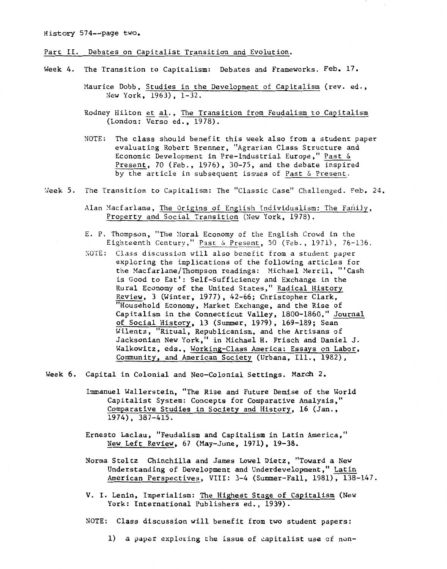#### Part II. Debates on Capitalist Transition and Evolution.

Week 4. The Transition to Capitalism: Debates and Frameworks. Feb. 17.

Maurice Dobb, Studies in the Development of Capitalism (rev. ed., New York, 1963), 1-32.

- Rodney Hilton et al., The Transition from Feudalism to Capitalism (London: Verso ed., 1978).
- NOTE: The class should benefit this week also from a student paper evaluating Robert Brenner, "Agrarian Class Structure and Economic Development in Pre-Industrial Europe," Past & Present, 70 (Feb., 1976), 30-75, and the debate inspired by the article in subsequent issues of Past & Present.
- Week 5. The Transition to Capitalism: The "Classic Case" Challenged. Feb. 24.
	- Alan Macfarlane, The Origins of English Individualism: The Family, Property and Social Transition (New York, 1978).
	- E. P. Thompson, "The Moral Economy of the English Crowd in the Eighteenth Century," Past & Present, 50 (Feb., 1971), 76-136.
	- NOTE: Class discussion will also benefit from a student paper exploring the implications of the following articles for the Macfarlane/Thompson readings: Michael Merril, "'Cash is Good to Eat': Self-Sufficiency and Exchange in the Rural Economy of the United States," Radical History Review, 3 (Winter, 1977), 42-66; Christopher Clark, "Household Economy, Harket Exchange, and the Rise of Capitalism in the Connecticut Valley, 1800-1860," Journal of Social History, 13 (Summer, 1979), 169-189; Sean Wilentz, "Ritual, Republicanism, and the Artisans of Jacksonian New York," in Michael H. Frisch and Daniel J. Walkowitz, eds., Working-Class America: Essays on Labor, Community, and American Society (Urbana, Ill., 1982),
- Week 6. Capital in Colonial and Neo-Colonial Settings. March 2.
	- Immanuel Wallerstein, "The Rise and Future Demise of the World Capitalist System: Concepts for Comparative Analysis," Comparative Studies in Society and History, 16 (Jan., 1974), 387-415.
	- Ernesto Laclau, "Feudalism and Capitalism in Latin America," New Left Review, 67 (May-June, 1971), 19-38.
	- Norma Stoltz Chinchilla and James Lowel Dietz, "Toward a New Understanding of Development and Underdevelopment," Latin American Perspectives, VIII: 3-4 (Summer-Fall, 1981), 138-147.
	- V. I. Lenin, Imperialism: The Highest Stage of Capitalism (New York: International Publishers ed., 1939).

NOTE: Class discussion will benefit from two student papers:

1) a paper exploring the issue of capitalist use of non-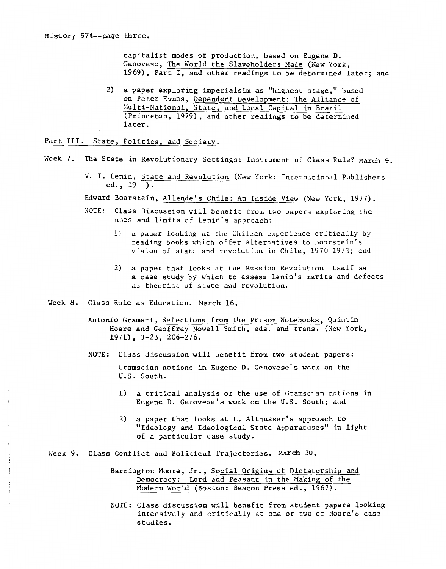capitalist modes of production, based on Eugene D. Genovese, The World the Slaveholders Made (New York, 1969), Part I, and other readings to be determined later; and

- 2) a paper exploring imperialsim as "highest stage," based on Peter Evans, Dependent Development: The Alliance of Hulti-National, State, and Local Capital in Brazil (Princeton, 1979), and other readings to be determined later.
- Part III. State, Politics, and Society.
- Week 7. The State in Revolutionary Settings: Instrument of Class Rule? March 9.
	- V. I. Lenin, State and Revolution (New York: International Publishers ed., 19 ).
	- Edward Boorstein, Allende's Chile: An Inside View (New York, 1977).
	- NOTE: Class Discussion will benefit from two papers exploring the uses and limits of Lenin's approach:
		- 1) a paper looking at the Chilean experience critically by reading books which offer alternatives to Boorstein's vision of state and revolution in Chile, 1970-1973; and
		- 2) a paper that looks at the Russian Revolution itself as a case study by which to assess Lenin's marits and defects as theorist of state and revolution.
- Week 8. Class Rule as Education. March 16.
	- Antonio Gramsci, Selections from the Prison Notebooks, Quintin Hoare and Geoffrey Nowell Smith, eds. and trans. (New York, 1971), 3-23, 206-276.
	- NOTE: Class discussion will benefit from two student papers: Gramscian notions in Eugene D. Genovese's work on the U.S. South.
		- 1) a critical analysis of the use of Gramscian notions in Eugene D. Genovese's work on the U.S. South; and
		- 2) a paper that looks at L. Althusser's approach to "Ideology and Ideological State Apparatuses" in light of a particular case study.
- Week 9. Class Conflict and Political Trajectories. March 30.
	- Barrington Moore, Jr., Social Origins of Dictatorship and Democracy: Lord and Peasant in the Making of the Modern World (Boston: Beacon Press ed., 1967).
	- NOTE: Class discussion will benefit from student papers looking intensively and critically at one or two of Moore's case studies.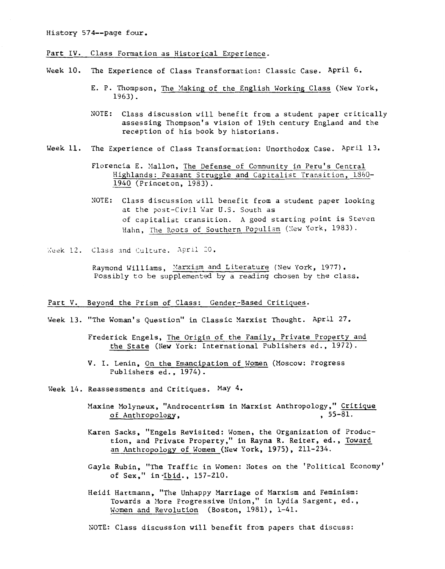### History 574--page four.

### Part IV. Class Formation as Historical Experience.

- Week 10. The Experience of Class Transformation: Classic Case. April 6.
	- E. P. Thompson, The Making of the English Working Class (New York, 1963).
	- NOTE: Class discussion will benefit from a student paper critically assessing Thompson's vision of 19th century England and the reception of his book by historians.
- Week 11. The Experience of Class Transformation: Unorthodox Case. April 13.
	- Florencia E. Mallon, The Defense of Community in Peru's Central Highlands: Peasant Struggle and Capitalist Transition, 1860- 1940 (Princeton, 1983).
	- NOTE: Class discussion will benefit from a student paper looking at the post-Civil War U.S. South as of capitalist transition. A good starting point is Steven Hahn, The Roots of Southern Populism (New York, 1983).
- Week 12. Class and Culture. April 20.

Raymond Williams, Marxism and Literature (New York, 1977). Possibly to be supplemented by a reading chosen by the class.

## Part V. Beyond the Prism of Class: Gender-Based Critiques.

- Week 13. "The Woman's Question" in Classic Marxist Thought. April 27.
	- Frederick Engels, The Origin of the Family, Private Property and the State (New York: International Publishers ed., 1972).
	- V. I. Lenin, On the Emancipation of Women (Moscow: Progress Publishers ed., 1974).
- Week 14. Reassessments and Critiques. May  $4$ .
	- Maxine Molyneux, "Androcentrism in Marxist Anthropology," Critique<br>of Anthropology, ..., 55-81. of Anthropology,
	- Karen Sacks, "Engels Revisited: Women, the Organization of Production, and Private Property," in Rayna R. Reiter, ed., Toward an Anthropology of Women (New York, 1975), 211-234.
	- Gayle Rubin, "The Traffic in Women: Notes on the 'Political Economy' of Sex," in •Ibid., 157-210.
	- Heidi Hartmann, "The Unhappy Marriage of Marxism and Feminism: Towards a More Progressive Union," in Lydia Sargent, ed., Women and Revolution (Boston, 1981), 1-41.
	- NOTE: Class discussion will benefit from papers that discuss: